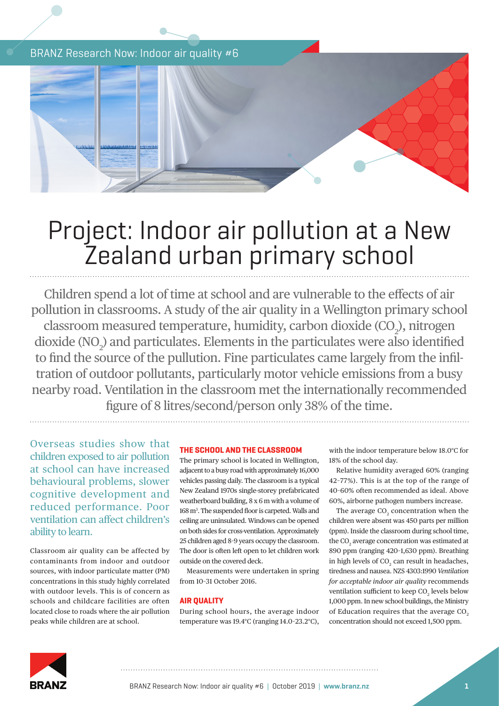BRANZ Research Now: Indoor air quality #6



# Project: Indoor air pollution at a New Zealand urban primary school

Children spend a lot of time at school and are vulnerable to the effects of air pollution in classrooms. A study of the air quality in a Wellington primary school classroom measured temperature, humidity, carbon dioxide  $({\rm CO}_2)$ , nitrogen dioxide  $(NO<sub>2</sub>)$  and particulates. Elements in the particulates were also identified to find the source of the pullution. Fine particulates came largely from the infiltration of outdoor pollutants, particularly motor vehicle emissions from a busy nearby road. Ventilation in the classroom met the internationally recommended figure of 8 litres/second/person only 38% of the time.

Overseas studies show that children exposed to air pollution at school can have increased behavioural problems, slower cognitive development and reduced performance. Poor ventilation can affect children's ability to learn.

Classroom air quality can be affected by contaminants from indoor and outdoor sources, with indoor particulate matter (PM) concentrations in this study highly correlated with outdoor levels. This is of concern as schools and childcare facilities are often located close to roads where the air pollution peaks while children are at school.

# **THE SCHOOL AND THE CLASSROOM**

The primary school is located in Wellington, adjacent to a busy road with approximately 16,000 vehicles passing daily. The classroom is a typical New Zealand 1970s single-storey prefabricated weatherboard building, 8 x 6 m with a volume of 168 m3 . The suspended floor is carpeted. Walls and ceiling are uninsulated. Windows can be opened on both sides for cross-ventilation. Approximately 25 children aged 8–9 years occupy the classroom. The door is often left open to let children work outside on the covered deck.

Measurements were undertaken in spring from 10–31 October 2016.

## **AIR QUALITY**

During school hours, the average indoor temperature was 19.4°C (ranging 14.0–23.2°C), with the indoor temperature below 18.0°C for 18% of the school day.

Relative humidity averaged 60% (ranging 42–77%). This is at the top of the range of 40–60% often recommended as ideal. Above 60%, airborne pathogen numbers increase.

The average  $CO<sub>2</sub>$  concentration when the children were absent was 450 parts per million (ppm). Inside the classroom during school time, the  $\mathrm{CO}_2$  average concentration was estimated at 890 ppm (ranging 420–1,630 ppm). Breathing in high levels of  $CO<sub>2</sub>$  can result in headaches, tiredness and nausea. NZS 4303:1990 *Ventilation for acceptable indoor air quality* recommends ventilation sufficient to keep  $CO<sub>2</sub>$  levels below 1,000 ppm. In new school buildings, the Ministry of Education requires that the average CO<sub>2</sub> concentration should not exceed 1,500 ppm.